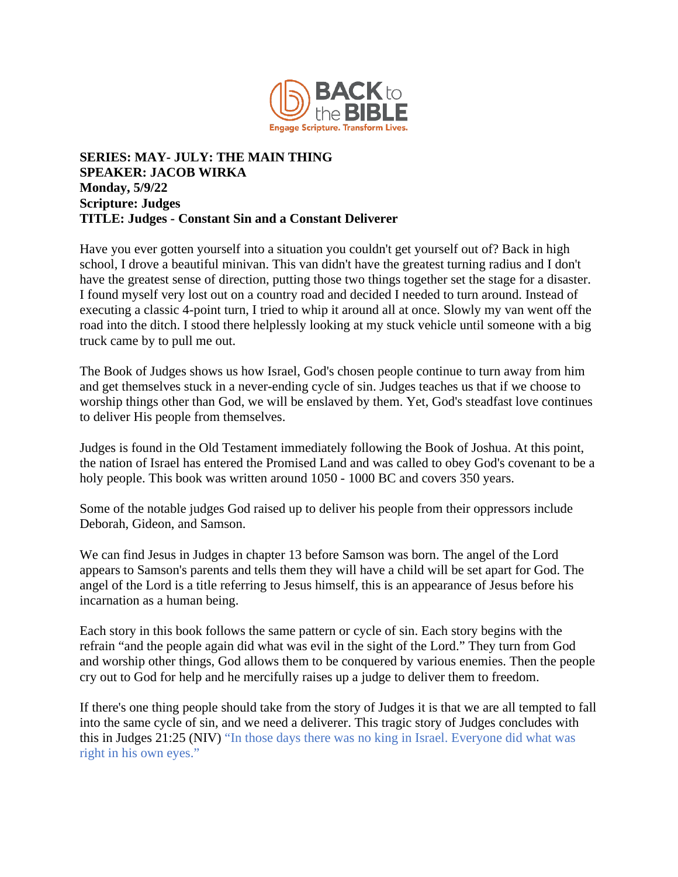

## **SERIES: MAY- JULY: THE MAIN THING SPEAKER: JACOB WIRKA Monday, 5/9/22 Scripture: Judges TITLE: Judges - Constant Sin and a Constant Deliverer**

Have you ever gotten yourself into a situation you couldn't get yourself out of? Back in high school, I drove a beautiful minivan. This van didn't have the greatest turning radius and I don't have the greatest sense of direction, putting those two things together set the stage for a disaster. I found myself very lost out on a country road and decided I needed to turn around. Instead of executing a classic 4-point turn, I tried to whip it around all at once. Slowly my van went off the road into the ditch. I stood there helplessly looking at my stuck vehicle until someone with a big truck came by to pull me out.

The Book of Judges shows us how Israel, God's chosen people continue to turn away from him and get themselves stuck in a never-ending cycle of sin. Judges teaches us that if we choose to worship things other than God, we will be enslaved by them. Yet, God's steadfast love continues to deliver His people from themselves.

Judges is found in the Old Testament immediately following the Book of Joshua. At this point, the nation of Israel has entered the Promised Land and was called to obey God's covenant to be a holy people. This book was written around  $1050 - 1000$  BC and covers 350 years.

Some of the notable judges God raised up to deliver his people from their oppressors include Deborah, Gideon, and Samson.

We can find Jesus in Judges in chapter 13 before Samson was born. The angel of the Lord appears to Samson's parents and tells them they will have a child will be set apart for God. The angel of the Lord is a title referring to Jesus himself, this is an appearance of Jesus before his incarnation as a human being.

Each story in this book follows the same pattern or cycle of sin. Each story begins with the refrain "and the people again did what was evil in the sight of the Lord." They turn from God and worship other things, God allows them to be conquered by various enemies. Then the people cry out to God for help and he mercifully raises up a judge to deliver them to freedom.

If there's one thing people should take from the story of Judges it is that we are all tempted to fall into the same cycle of sin, and we need a deliverer. This tragic story of Judges concludes with this in Judges 21:25 (NIV) "In those days there was no king in Israel. Everyone did what was right in his own eyes."